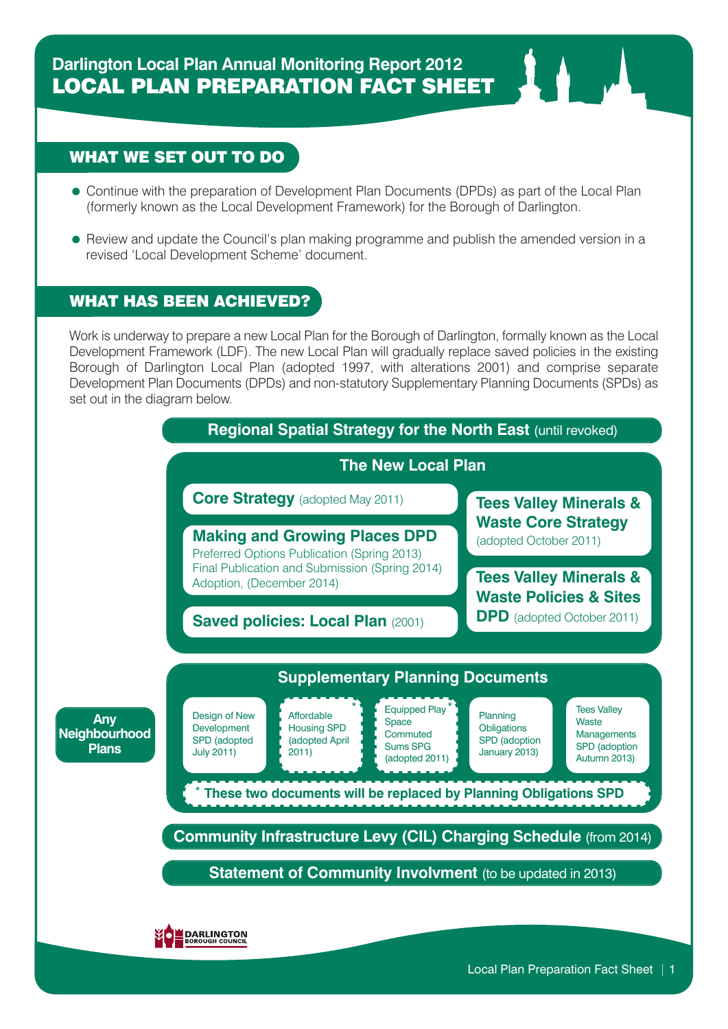## WHAT WE SET OUT TO DO

- Continue with the preparation of Development Plan Documents (DPDs) as part of the Local Plan (formerly known as the Local Development Framework) for the Borough of Darlington.
- Review and update the Council's plan making programme and publish the amended version in a revised 'Local Development Scheme' document.

## WHAT HAS BEEN ACHIEVED?

Work is underway to prepare a new Local Plan for the Borough of Darlington, formally known as the Local Development Framework (LDF). The new Local Plan will gradually replace saved policies in the existing Borough of Darlington Local Plan (adopted 1997, with alterations 2001) and comprise separate Development Plan Documents (DPDs) and non-statutory Supplementary Planning Documents (SPDs) as set out in the diagram below.

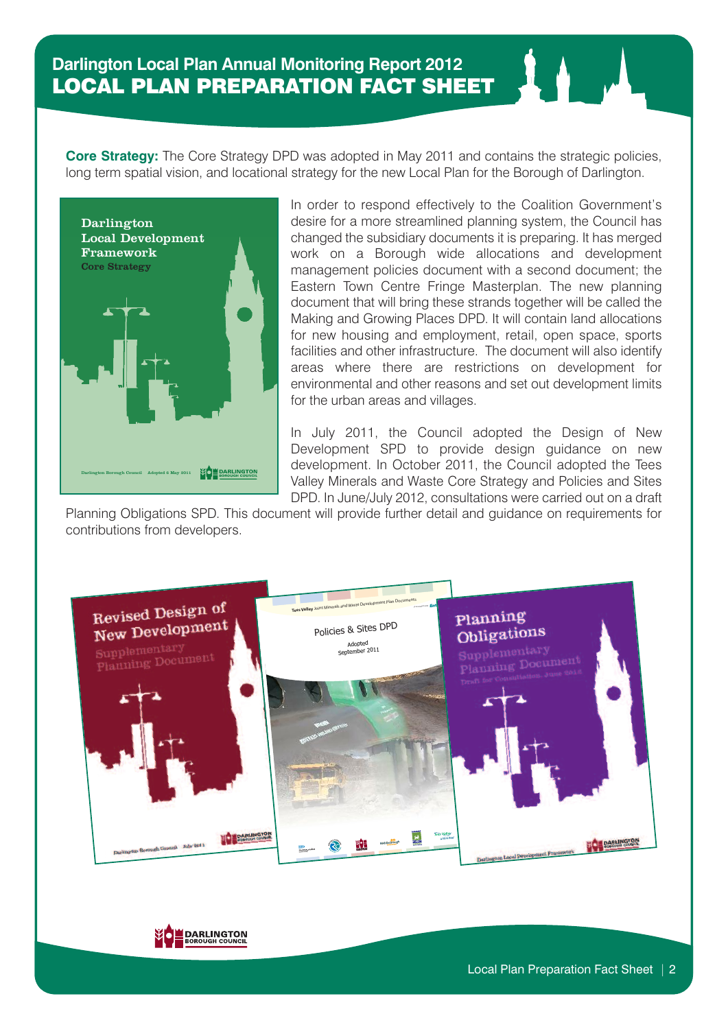**Core Strategy:** The Core Strategy DPD was adopted in May 2011 and contains the strategic policies, long term spatial vision, and locational strategy for the new Local Plan for the Borough of Darlington.



In order to respond effectively to the Coalition Government's desire for a more streamlined planning system, the Council has changed the subsidiary documents it is preparing. It has merged work on a Borough wide allocations and development management policies document with a second document; the Eastern Town Centre Fringe Masterplan. The new planning document that will bring these strands together will be called the Making and Growing Places DPD. It will contain land allocations for new housing and employment, retail, open space, sports facilities and other infrastructure. The document will also identify areas where there are restrictions on development for environmental and other reasons and set out development limits for the urban areas and villages.

In July 2011, the Council adopted the Design of New Development SPD to provide design guidance on new development. In October 2011, the Council adopted the Tees Valley Minerals and Waste Core Strategy and Policies and Sites DPD. In June/July 2012, consultations were carried out on a draft

Planning Obligations SPD. This document will provide further detail and guidance on requirements for contributions from developers.



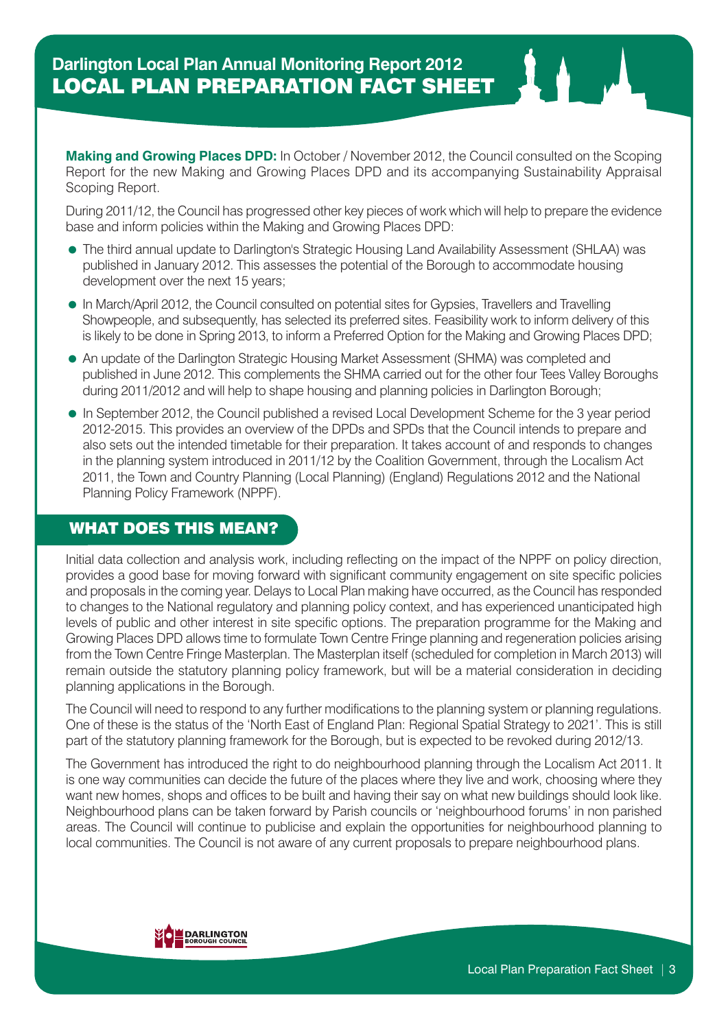**Making and Growing Places DPD:** In October / November 2012, the Council consulted on the Scoping Report for the new Making and Growing Places DPD and its accompanying Sustainability Appraisal Scoping Report.

During 2011/12, the Council has progressed other key pieces of work which will help to prepare the evidence base and inform policies within the Making and Growing Places DPD:

- The third annual update to Darlington's Strategic Housing Land Availability Assessment (SHLAA) was published in January 2012. This assesses the potential of the Borough to accommodate housing development over the next 15 years;
- In March/April 2012, the Council consulted on potential sites for Gypsies, Travellers and Travelling Showpeople, and subsequently, has selected its preferred sites. Feasibility work to inform delivery of this is likely to be done in Spring 2013, to inform a Preferred Option for the Making and Growing Places DPD;
- An update of the Darlington Strategic Housing Market Assessment (SHMA) was completed and published in June 2012. This complements the SHMA carried out for the other four Tees Valley Boroughs during 2011/2012 and will help to shape housing and planning policies in Darlington Borough;
- In September 2012, the Council published a revised Local Development Scheme for the 3 year period 2012-2015. This provides an overview of the DPDs and SPDs that the Council intends to prepare and also sets out the intended timetable for their preparation. It takes account of and responds to changes in the planning system introduced in 2011/12 by the Coalition Government, through the Localism Act 2011, the Town and Country Planning (Local Planning) (England) Regulations 2012 and the National Planning Policy Framework (NPPF).

## WHAT DOES THIS MEAN?

Initial data collection and analysis work, including reflecting on the impact of the NPPF on policy direction, provides a good base for moving forward with significant community engagement on site specific policies and proposals in the coming year. Delays to Local Plan making have occurred, as the Council has responded to changes to the National regulatory and planning policy context, and has experienced unanticipated high levels of public and other interest in site specific options. The preparation programme for the Making and Growing Places DPD allows time to formulate Town Centre Fringe planning and regeneration policies arising from the Town Centre Fringe Masterplan. The Masterplan itself (scheduled for completion in March 2013) will remain outside the statutory planning policy framework, but will be a material consideration in deciding planning applications in the Borough.

The Council will need to respond to any further modifications to the planning system or planning regulations. One of these is the status of the 'North East of England Plan: Regional Spatial Strategy to 2021'. This is still part of the statutory planning framework for the Borough, but is expected to be revoked during 2012/13.

The Government has introduced the right to do neighbourhood planning through the Localism Act 2011. It is one way communities can decide the future of the places where they live and work, choosing where they want new homes, shops and offices to be built and having their say on what new buildings should look like. Neighbourhood plans can be taken forward by Parish councils or 'neighbourhood forums' in non parished areas. The Council will continue to publicise and explain the opportunities for neighbourhood planning to local communities. The Council is not aware of any current proposals to prepare neighbourhood plans.